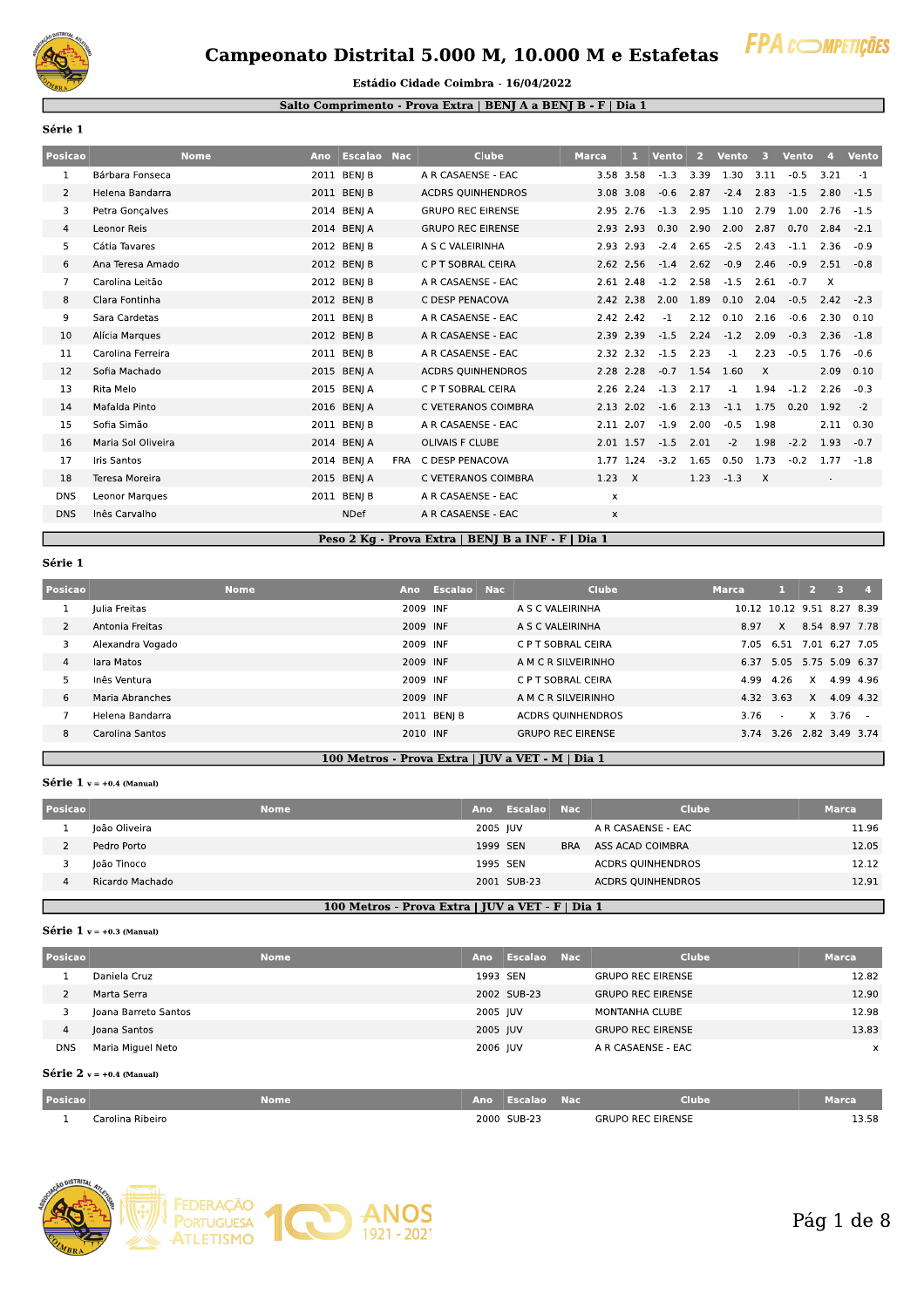

## Campeonato Distrital 5.000 M, 10.000 M e Estafetas



#### Estádio Cidade Coimbra - 16/04/2022

### Salto Comprimento - Prova Extra | BENJ A a BENJ B - F | Dia 1

Série 1

| Posicao        | <b>Nome</b>           | Ano | <b>Escalao Nac</b> |            | Clube                    | <b>Marca</b>              | 47        | <b>Vento</b> | 2    | <b>Vento</b> | -3       | <b>Vento</b> | $\mathbf{A}$ | <b>Vento</b> |
|----------------|-----------------------|-----|--------------------|------------|--------------------------|---------------------------|-----------|--------------|------|--------------|----------|--------------|--------------|--------------|
| 1              | Bárbara Fonseca       |     | 2011 BEN  B        |            | A R CASAENSE - EAC       |                           | 3.58 3.58 | $-1.3$       | 3.39 | 1.30         | 3.11     | $-0.5$       | 3.21         | -1           |
| $\overline{2}$ | Helena Bandarra       |     | 2011 BENI B        |            | <b>ACDRS OUINHENDROS</b> |                           | 3.08 3.08 | $-0.6$       | 2.87 | $-2.4$       | 2.83     | $-1.5$       | 2.80         | $-1.5$       |
| 3              | Petra Gonçalves       |     | 2014 BENI A        |            | <b>GRUPO REC EIRENSE</b> |                           | 2.95 2.76 | $-1.3$       | 2.95 | 1.10         | 2.79     | 1.00         | 2.76         | $-1.5$       |
| 4              | Leonor Reis           |     | 2014 BENJ A        |            | <b>GRUPO REC EIRENSE</b> |                           | 2.93 2.93 | 0.30         | 2.90 | 2.00         | 2.87     | 0.70         | 2.84         | $-2.1$       |
| 5              | Cátia Tavares         |     | 2012 BENJ B        |            | A S C VALEIRINHA         |                           | 2.93 2.93 | $-2.4$       | 2.65 | $-2.5$       | 2.43     | $-1.1$       | 2.36         | $-0.9$       |
| 6              | Ana Teresa Amado      |     | 2012 BENJ B        |            | C P T SOBRAL CEIRA       |                           | 2.62 2.56 | $-1.4$       | 2.62 | $-0.9$       | 2.46     | $-0.9$       | 2.51         | $-0.8$       |
| 7              | Carolina Leitão       |     | 2012 BENJ B        |            | A R CASAENSE - EAC       |                           | 2.61 2.48 | $-1.2$       | 2.58 | $-1.5$       | 2.61     | $-0.7$       | $\times$     |              |
| 8              | Clara Fontinha        |     | 2012 BENI B        |            | C DESP PENACOVA          |                           | 2.42 2.38 | 2.00         | 1.89 | 0.10         | 2.04     | $-0.5$       | 2.42         | $-2.3$       |
| 9              | Sara Cardetas         |     | 2011 BEN  B        |            | A R CASAENSE - EAC       |                           | 2.42 2.42 | $-1$         | 2.12 | 0.10         | 2.16     | $-0.6$       | 2.30         | 0.10         |
| 10             | Alícia Marques        |     | 2012 BENJ B        |            | A R CASAENSE - EAC       |                           | 2.39 2.39 | $-1.5$       | 2.24 | $-1.2$       | 2.09     | $-0.3$       | 2.36         | $-1.8$       |
| 11             | Carolina Ferreira     |     | 2011 BENI B        |            | A R CASAENSE - EAC       |                           | 2.32 2.32 | $-1.5$       | 2.23 | $-1$         | 2.23     | $-0.5$       | 1.76         | $-0.6$       |
| 12             | Sofia Machado         |     | 2015 BENJ A        |            | <b>ACDRS OUINHENDROS</b> |                           | 2.28 2.28 | $-0.7$       | 1.54 | 1.60         | $\times$ |              | 2.09         | 0.10         |
| 13             | Rita Melo             |     | 2015 BENJ A        |            | C P T SOBRAL CEIRA       |                           | 2.26 2.24 | $-1.3$       | 2.17 | $-1$         | 1.94     | $-1.2$       | 2.26         | $-0.3$       |
| 14             | Mafalda Pinto         |     | 2016 BENI A        |            | C VETERANOS COIMBRA      |                           | 2.13 2.02 | $-1.6$       | 2.13 | $-1.1$       | 1.75     | 0.20         | 1.92         | $-2$         |
| 15             | Sofia Simão           |     | 2011 BEN  B        |            | A R CASAENSE - EAC       |                           | 2.11 2.07 | $-1.9$       | 2.00 | $-0.5$       | 1.98     |              | 2.11         | 0.30         |
| 16             | Maria Sol Oliveira    |     | 2014 BENI A        |            | OLIVAIS F CLUBE          |                           | 2.01 1.57 | $-1.5$       | 2.01 | $-2$         | 1.98     | $-2.2$       | 1.93         | $-0.7$       |
| 17             | Iris Santos           |     | 2014 BENJ A        | <b>FRA</b> | C DESP PENACOVA          |                           | 1.77 1.24 | $-3.2$       | 1.65 | 0.50         | 1.73     | $-0.2$       | 1.77         | $-1.8$       |
| 18             | Teresa Moreira        |     | 2015 BENJ A        |            | C VETERANOS COIMBRA      | $1.23 \times$             |           |              | 1.23 | $-1.3$       | $\times$ |              | $\sim$       |              |
| <b>DNS</b>     | <b>Leonor Marques</b> |     | 2011 BENI B        |            | A R CASAENSE - EAC       | x                         |           |              |      |              |          |              |              |              |
| <b>DNS</b>     | Inês Carvalho         |     | <b>NDef</b>        |            | A R CASAENSE - EAC       | $\boldsymbol{\mathsf{x}}$ |           |              |      |              |          |              |              |              |

## Peso 2 Kg - Prova Extra | BENJ B a INF - F | Dia 1

#### Série 1

| Posicao        |                  | <b>Nome</b> | Ano      | Escalao Nac |                          | <b>Clube</b> | <b>Marca</b>               |                          |              |                |  |
|----------------|------------------|-------------|----------|-------------|--------------------------|--------------|----------------------------|--------------------------|--------------|----------------|--|
|                | Iulia Freitas    |             | 2009 INF |             | A S C VALEIRINHA         |              | 10.12 10.12 9.51 8.27 8.39 |                          |              |                |  |
| 2              | Antonia Freitas  |             | 2009 INF |             | A S C VALEIRINHA         |              | 8.97                       | $\mathsf{X}$             |              | 8.54 8.97 7.78 |  |
| 3              | Alexandra Vogado |             | 2009 INF |             | C P T SOBRAL CEIRA       |              | 7.05                       | 6.51                     |              | 7.01 6.27 7.05 |  |
| $\overline{4}$ | lara Matos       |             | 2009 INF |             | A M C R SILVEIRINHO      |              |                            | 6.37 5.05 5.75 5.09 6.37 |              |                |  |
| 5              | Inês Ventura     |             | 2009 INF |             | C P T SOBRAL CEIRA       |              | 4.99                       | 4.26                     | X            | 4.99 4.96      |  |
| 6              | Maria Abranches  |             | 2009 INF |             | A M C R SILVEIRINHO      |              | 4.32 3.63                  |                          | $\mathsf{X}$ | 4.09 4.32      |  |
|                | Helena Bandarra  |             |          | 2011 BENI B | <b>ACDRS OUINHENDROS</b> |              | 3.76                       | $\sim 100$               | X            | 3.76           |  |
| 8              | Carolina Santos  |             | 2010 INF |             | <b>GRUPO REC EIRENSE</b> |              |                            | 3.74 3.26 2.82 3.49 3.74 |              |                |  |
|                |                  |             |          |             |                          |              |                            |                          |              |                |  |

## 100 Metros - Prova Extra | JUV a VET - M | Dia 1

## Série 1  $v = +0.4$  (Manual)

| Posicao |                                                  | <b>Nome</b> | Ano      | Escalao Nac |            | Clube                    | <b>Marca</b> |
|---------|--------------------------------------------------|-------------|----------|-------------|------------|--------------------------|--------------|
|         | loão Oliveira                                    |             | 2005 JUV |             |            | A R CASAENSE - EAC       | 11.96        |
|         | Pedro Porto                                      |             | 1999 SEN |             | <b>BRA</b> | ASS ACAD COIMBRA         | 12.05        |
|         | João Tinoco                                      |             | 1995 SEN |             |            | <b>ACDRS OUINHENDROS</b> | 12.12        |
|         | Ricardo Machado                                  |             |          | 2001 SUB-23 |            | <b>ACDRS QUINHENDROS</b> | 12.91        |
|         |                                                  |             |          |             |            |                          |              |
|         | 100 Metros - Prova Extra   JUV a VET - F   Dia 1 |             |          |             |            |                          |              |

### Série  $1 v = +0.3$  (Manual)

| Posicao    | <b>Nome</b>          | Ano      | <b>Escalao</b> Nac | <b>Clube</b>             | <b>Marca</b> |
|------------|----------------------|----------|--------------------|--------------------------|--------------|
|            | Daniela Cruz         | 1993 SEN |                    | <b>GRUPO REC EIRENSE</b> | 12.82        |
|            | Marta Serra          |          | 2002 SUB-23        | <b>GRUPO REC EIRENSE</b> | 12.90        |
| 3          | Joana Barreto Santos | 2005 JUV |                    | MONTANHA CLUBE           | 12.98        |
| 4          | Joana Santos         | 2005 JUV |                    | <b>GRUPO REC EIRENSE</b> | 13.83        |
| <b>DNS</b> | Maria Miguel Neto    | 2006 JUV |                    | A R CASAENSE - EAC       | $\times$     |
| _ _ _ _    |                      |          |                    |                          |              |

#### Série  $2 v = +0.4$  (Manual)

| Posicao |                  | Nome | Ano | <b>Escalao</b> | Nac | Clube                    | Marca |
|---------|------------------|------|-----|----------------|-----|--------------------------|-------|
|         | Carolina Ribeiro |      |     | 2000 SUB-23    |     | <b>GRUPO REC EIRENSE</b> | 13.58 |

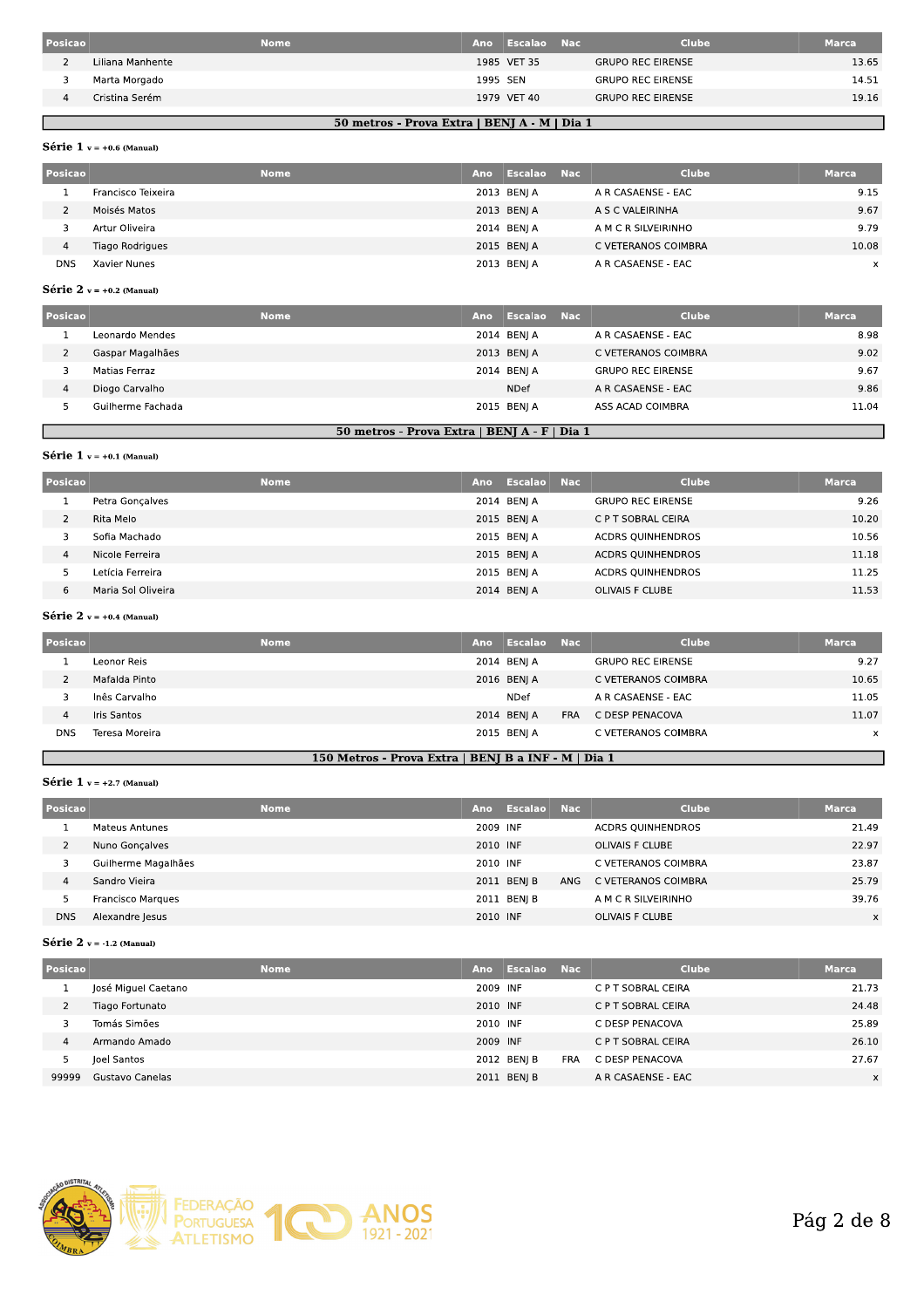| Posicao |                  | <b>Nome</b> | Ano      | Escalao     | <b>Nac</b> | <b>Clube</b>             | <b>Marca</b> |
|---------|------------------|-------------|----------|-------------|------------|--------------------------|--------------|
|         | Liliana Manhente |             |          | 1985 VET 35 |            | <b>GRUPO REC EIRENSE</b> | 13.65        |
|         | Marta Morgado    |             | 1995 SEN |             |            | <b>GRUPO REC EIRENSE</b> | 14.51        |
|         | Cristina Serém   |             |          | 1979 VET 40 |            | <b>GRUPO REC EIRENSE</b> | 19.16        |
|         |                  |             |          |             |            |                          |              |

### 50 metros - Prova Extra | BENJ A - M | Dia 1

## Série 1  $v = +0.6$  (Manual)

| Posicao    |                    | <b>Nome</b> | Ano | Escalao Nac | <b>Clube</b>        | <b>Marca</b> |
|------------|--------------------|-------------|-----|-------------|---------------------|--------------|
|            | Francisco Teixeira |             |     | 2013 BENJ A | A R CASAENSE - EAC  | 9.15         |
|            | Moisés Matos       |             |     | 2013 BENJ A | A S C VALEIRINHA    | 9.67         |
|            | Artur Oliveira     |             |     | 2014 BENI A | A M C R SILVEIRINHO | 9.79         |
| 4          | Tiago Rodrigues    |             |     | 2015 BENJ A | C VETERANOS COIMBRA | 10.08        |
| <b>DNS</b> | Xavier Nunes       |             |     | 2013 BENJ A | A R CASAENSE - EAC  | x            |

### Série 2  $v = +0.2$  (Manual)

| Posicao |                   | <b>Nome</b> | Ano | Escalao     | <b>Nac</b> | <b>Clube</b>             | <b>Marca</b> |
|---------|-------------------|-------------|-----|-------------|------------|--------------------------|--------------|
|         | Leonardo Mendes   |             |     | 2014 BENJ A |            | A R CASAENSE - EAC       | 8.98         |
|         | Gaspar Magalhães  |             |     | 2013 BENJ A |            | C VETERANOS COIMBRA      | 9.02         |
|         | Matias Ferraz     |             |     | 2014 BENI A |            | <b>GRUPO REC EIRENSE</b> | 9.67         |
| 4       | Diogo Carvalho    |             |     | <b>NDef</b> |            | A R CASAENSE - EAC       | 9.86         |
|         | Guilherme Fachada |             |     | 2015 BENIA  |            | ASS ACAD COIMBRA         | 11.04        |
|         |                   |             |     |             |            |                          |              |

### 50 metros - Prova Extra | BENJ A - F | Dia 1

## Série 1  $v = +0.1$  (Manual)

Г

| Posicao |                    | <b>Nome</b> | Ano | Escalao     | <b>Nac</b> | <b>Clube</b>             | <b>Marca</b> |
|---------|--------------------|-------------|-----|-------------|------------|--------------------------|--------------|
|         | Petra Goncalves    |             |     | 2014 BENJ A |            | <b>GRUPO REC EIRENSE</b> | 9.26         |
|         | Rita Melo          |             |     | 2015 BENJ A |            | C P T SOBRAL CEIRA       | 10.20        |
|         | Sofia Machado      |             |     | 2015 BENI A |            | <b>ACDRS QUINHENDROS</b> | 10.56        |
| 4       | Nicole Ferreira    |             |     | 2015 BENJ A |            | <b>ACDRS OUINHENDROS</b> | 11.18        |
|         | Letícia Ferreira   |             |     | 2015 BENI A |            | <b>ACDRS OUINHENDROS</b> | 11.25        |
| 6       | Maria Sol Oliveira |             |     | 2014 BENJ A |            | <b>OLIVAIS F CLUBE</b>   | 11.53        |

## Série 2  $v = +0.4$  (Manual)

| <b>Posicao</b> |                | <b>Nome</b> | Ano | Escalao Nac |            | <b>Clube</b>             | <b>Marca</b> |
|----------------|----------------|-------------|-----|-------------|------------|--------------------------|--------------|
|                | Leonor Reis    |             |     | 2014 BENJA  |            | <b>GRUPO REC EIRENSE</b> | 9.27         |
|                | Mafalda Pinto  |             |     | 2016 BENI A |            | C VETERANOS COIMBRA      | 10.65        |
|                | Inês Carvalho  |             |     | NDef        |            | A R CASAENSE - EAC       | 11.05        |
| 4              | Iris Santos    |             |     | 2014 BENJ A | <b>FRA</b> | C DESP PENACOVA          | 11.07        |
| <b>DNS</b>     | Teresa Moreira |             |     | 2015 BENJ A |            | C VETERANOS COIMBRA      | x            |
|                |                |             |     |             |            |                          |              |

## 150 Metros - Prova Extra | BENJ B a INF - M | Dia 1

## Série 1  $v = +2.7$  (Manual)

| Posicao    | <b>Nome</b>         | Ano      | Escalao Nac |     | <b>Clube</b>             | <b>Marca</b> |
|------------|---------------------|----------|-------------|-----|--------------------------|--------------|
|            | Mateus Antunes      | 2009 INF |             |     | <b>ACDRS OUINHENDROS</b> | 21.49        |
|            | Nuno Goncalves      | 2010 INF |             |     | OLIVAIS F CLUBE          | 22.97        |
| 3          | Guilherme Magalhães | 2010 INF |             |     | C VETERANOS COIMBRA      | 23.87        |
| 4          | Sandro Vieira       |          | 2011 BENJ B | ANG | C VETERANOS COIMBRA      | 25.79        |
|            | Francisco Marques   |          | 2011 BEN  B |     | A M C R SILVEIRINHO      | 39.76        |
| <b>DNS</b> | Alexandre Jesus     | 2010 INF |             |     | <b>OLIVAIS F CLUBE</b>   | X            |

### Série 2  $v = -1.2$  (Manual)

| Posicao |                     | <b>Nome</b> | Ano      | Escalao     | <b>Nac</b> | Clube              | <b>Marca</b> |
|---------|---------------------|-------------|----------|-------------|------------|--------------------|--------------|
|         | José Miguel Caetano |             | 2009 INF |             |            | C P T SOBRAL CEIRA | 21.73        |
|         | Tiago Fortunato     |             | 2010 INF |             |            | C P T SOBRAL CEIRA | 24.48        |
|         | Tomás Simões        |             | 2010 INF |             |            | C DESP PENACOVA    | 25.89        |
| 4       | Armando Amado       |             | 2009 INF |             |            | C P T SOBRAL CEIRA | 26.10        |
|         | Joel Santos         |             |          | 2012 BEN  B | <b>FRA</b> | C DESP PENACOVA    | 27.67        |
| 99999   | Gustavo Canelas     |             |          | 2011 BENJ B |            | A R CASAENSE - EAC | X            |
|         |                     |             |          |             |            |                    |              |

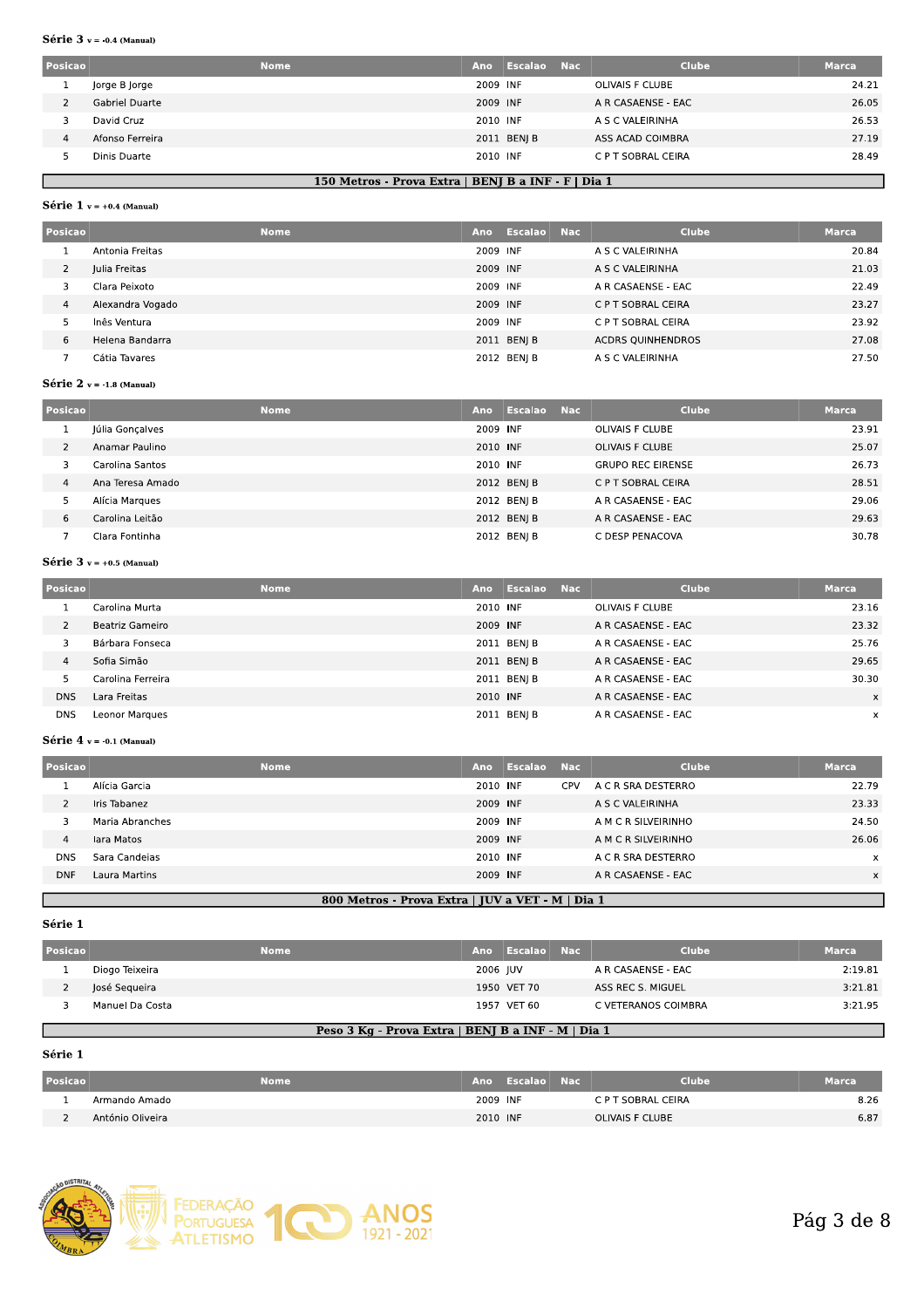#### Série  $3$  v = -0.4 (Manual)

| Posicao |                 | <b>Nome</b><br>Ano | Escalao     | <b>Nac</b> | <b>Clube</b>       | <b>Marca</b> |
|---------|-----------------|--------------------|-------------|------------|--------------------|--------------|
|         | Jorge B Jorge   |                    | 2009 INF    |            | OLIVAIS F CLUBE    | 24.21        |
|         | Gabriel Duarte  |                    | 2009 INF    |            | A R CASAENSE - EAC | 26.05        |
|         | David Cruz      |                    | 2010 INF    |            | A S C VALEIRINHA   | 26.53        |
| 4       | Afonso Ferreira |                    | 2011 BENJ B |            | ASS ACAD COIMBRA   | 27.19        |
|         | Dinis Duarte    |                    | 2010 INF    |            | C P T SOBRAL CEIRA | 28.49        |

## 150 Metros - Prova Extra | BENJ B a INF - F | Dia 1

#### Série 1  $v = +0.4$  (Manual)

| Posicao |                  | <b>Nome</b> | Ano      | Escalao Nac | <b>Clube</b>             | <b>Marca</b> |
|---------|------------------|-------------|----------|-------------|--------------------------|--------------|
|         | Antonia Freitas  |             | 2009 INF |             | A S C VALEIRINHA         | 20.84        |
| 2       | Julia Freitas    |             | 2009 INF |             | A S C VALEIRINHA         | 21.03        |
| 3       | Clara Peixoto    |             | 2009 INF |             | A R CASAENSE - EAC       | 22.49        |
| 4       | Alexandra Vogado |             | 2009 INF |             | C P T SOBRAL CEIRA       | 23.27        |
|         | Inês Ventura     |             | 2009 INF |             | C P T SOBRAL CEIRA       | 23.92        |
| 6       | Helena Bandarra  |             |          | 2011 BENJ B | <b>ACDRS OUINHENDROS</b> | 27.08        |
|         | Cátia Tavares    |             |          | 2012 BEN  B | A S C VALEIRINHA         | 27.50        |

### Série 2  $v = -1.8$  (Manual)

| Posicao | <b>Nome</b>      | Ano      | Escalao Nac |                          | <b>Clube</b><br>Marca. |       |
|---------|------------------|----------|-------------|--------------------------|------------------------|-------|
|         | Júlia Gonçalves  | 2009 INF |             | OLIVAIS F CLUBE          |                        | 23.91 |
|         | Anamar Paulino   | 2010 INF |             | <b>OLIVAIS F CLUBE</b>   |                        | 25.07 |
|         | Carolina Santos  | 2010 INF |             | <b>GRUPO REC EIRENSE</b> |                        | 26.73 |
| 4       | Ana Teresa Amado |          | 2012 BENJ B | C P T SOBRAL CEIRA       |                        | 28.51 |
|         | Alícia Margues   |          | 2012 BEN  B | A R CASAENSE - EAC       |                        | 29.06 |
| 6       | Carolina Leitão  |          | 2012 BEN  B | A R CASAENSE - EAC       |                        | 29.63 |
|         | Clara Fontinha   |          | 2012 BENI B | C DESP PENACOVA          |                        | 30.78 |

### Série  $3$  v = +0.5 (Manual)

| Posicao    |                       | <b>Nome</b> | Ano      | <b>Escalao Nac</b> | <b>Clube</b>       | <b>Marca</b> |
|------------|-----------------------|-------------|----------|--------------------|--------------------|--------------|
|            | Carolina Murta        |             | 2010 INF |                    | OLIVAIS F CLUBE    | 23.16        |
|            | Beatriz Gameiro       |             | 2009 INF |                    | A R CASAENSE - EAC | 23.32        |
|            | Bárbara Fonseca       |             |          | 2011 BENJ B        | A R CASAENSE - EAC | 25.76        |
| 4          | Sofia Simão           |             |          | 2011 BEN  B        | A R CASAENSE - EAC | 29.65        |
|            | Carolina Ferreira     |             |          | 2011 BENJ B        | A R CASAENSE - EAC | 30.30        |
| <b>DNS</b> | Lara Freitas          |             | 2010 INF |                    | A R CASAENSE - EAC | X            |
| <b>DNS</b> | <b>Leonor Marques</b> |             |          | 2011 BENJ B        | A R CASAENSE - EAC | $\times$     |

### Série  $4$  v = -0.1 (Manual)

| Posicao    |                 | <b>Nome</b> | Ano      | Escalao | <b>Nac</b> | <b>Clube</b>        | <b>Marca</b> |
|------------|-----------------|-------------|----------|---------|------------|---------------------|--------------|
|            | Alícia Garcia   |             | 2010 INF |         | CPV.       | A C R SRA DESTERRO  | 22.79        |
|            | Iris Tabanez    |             | 2009 INF |         |            | A S C VALEIRINHA    | 23.33        |
|            | Maria Abranches |             | 2009 INF |         |            | A M C R SILVEIRINHO | 24.50        |
| 4          | lara Matos      |             | 2009 INF |         |            | A M C R SILVEIRINHO | 26.06        |
| <b>DNS</b> | Sara Candeias   |             | 2010 INF |         |            | A C R SRA DESTERRO  | x            |
| <b>DNF</b> | Laura Martins   |             | 2009 INF |         |            | A R CASAENSE - EAC  | X            |
|            |                 |             |          |         |            |                     |              |

## 800 Metros - Prova Extra | JUV a VET - M | Dia 1

#### Série 1

Г

| Posicao |                 | <b>Nome</b> |          | Ano Escalao | - Nac | <b>Clube</b>        | <b>Marca</b> |
|---------|-----------------|-------------|----------|-------------|-------|---------------------|--------------|
|         | Diogo Teixeira  |             | 2006 IUV |             |       | A R CASAENSE - EAC  | 2:19.81      |
|         | losé Segueira   |             |          | 1950 VET 70 |       | ASS REC S. MIGUEL   | 3:21.81      |
|         | Manuel Da Costa |             |          | 1957 VET 60 |       | C VETERANOS COIMBRA | 3:21.95      |

## Peso 3 Kg - Prova Extra | BENJ B a INF - M | Dia 1

#### Série 1

| Posicao | Nome             |          | Ano Escalao Naci | Clube              | <b>Marca</b> |
|---------|------------------|----------|------------------|--------------------|--------------|
|         | Armando Amado    | 2009 INF |                  | C P T SOBRAL CEIRA | 8.26         |
|         | António Oliveira | 2010 INF |                  | OLIVAIS F CLUBE    | 6.87         |

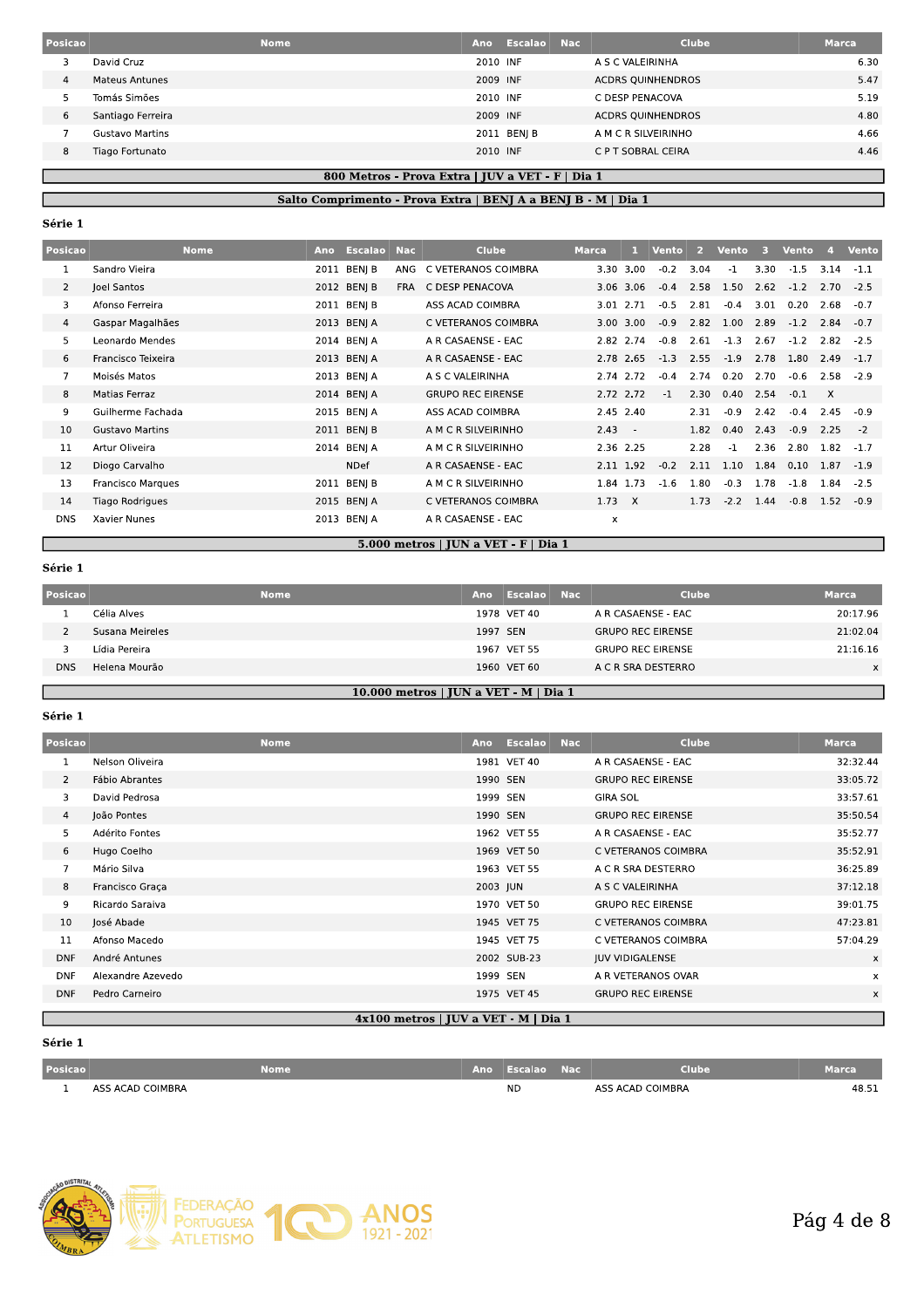| Posicao |                        | <b>Nome</b> | Ano      | <b>Escalao</b> Nac | <b>Clube</b>             | <b>Marca</b> |
|---------|------------------------|-------------|----------|--------------------|--------------------------|--------------|
|         | David Cruz             |             | 2010 INF |                    | A S C VALEIRINHA         | 6.30         |
| 4       | <b>Mateus Antunes</b>  |             | 2009 INF |                    | <b>ACDRS OUINHENDROS</b> | 5.47         |
|         | Tomás Simões           |             | 2010 INF |                    | C DESP PENACOVA          | 5.19         |
| 6       | Santiago Ferreira      |             | 2009 INF |                    | <b>ACDRS QUINHENDROS</b> | 4.80         |
|         | <b>Gustavo Martins</b> |             |          | 2011 BEN  B        | A M C R SILVEIRINHO      | 4.66         |
| 8       | Tiago Fortunato        |             | 2010 INF |                    | C P T SOBRAL CEIRA       | 4.46         |

## 800 Metros - Prova Extra | JUV a VET - F | Dia 1 Salto Comprimento - Prova Extra | BENJ A a BENJ B - M | Dia 1

## Série 1

| <b>Posicao</b> |                        | <b>Nome</b> | Ano  | <b>Escalao</b> | <b>Nac</b> | <b>Clube</b>             | Marca,        |            | Vento  | 2    | Vento  | 3    | Vento  | $\mathbf{A}$ | <b>Vento</b> |
|----------------|------------------------|-------------|------|----------------|------------|--------------------------|---------------|------------|--------|------|--------|------|--------|--------------|--------------|
| 1              | Sandro Vieira          |             | 2011 | BENJ B         | ANG        | C VETERANOS COIMBRA      | 3.30 3.00     |            | $-0.2$ | 3.04 | $-1$   | 3.30 | $-1.5$ | 3.14         | $-1.1$       |
| $\overline{2}$ | Joel Santos            |             |      | 2012 BENJ B    | <b>FRA</b> | C DESP PENACOVA          | 3.06 3.06     |            | $-0.4$ | 2.58 | 1.50   | 2.62 | $-1.2$ | 2.70         | $-2.5$       |
| 3              | Afonso Ferreira        |             |      | 2011 BEN  B    |            | ASS ACAD COIMBRA         | 3.01 2.71     |            | $-0.5$ | 2.81 | $-0.4$ | 3.01 | 0.20   | 2.68         | $-0.7$       |
| 4              | Gaspar Magalhães       |             |      | 2013 BENJ A    |            | C VETERANOS COIMBRA      | 3.00 3.00     |            | $-0.9$ | 2.82 | 1.00   | 2.89 | $-1.2$ | 2.84         | $-0.7$       |
| 5              | Leonardo Mendes        |             |      | 2014 BENI A    |            | A R CASAENSE - EAC       | 2.82 2.74     |            | $-0.8$ | 2.61 | $-1.3$ | 2.67 | $-1.2$ | 2.82         | $-2.5$       |
| 6              | Francisco Teixeira     |             |      | 2013 BENJ A    |            | A R CASAENSE - EAC       | 2.78 2.65     |            | $-1.3$ | 2.55 | $-1.9$ | 2.78 | 1.80   | 2.49         | $-1.7$       |
| $\overline{7}$ | Moisés Matos           |             |      | 2013 BENJ A    |            | A S C VALEIRINHA         | 2.74 2.72     |            | $-0.4$ | 2.74 | 0.20   | 2.70 | $-0.6$ | 2.58         | $-2.9$       |
| 8              | Matias Ferraz          |             |      | 2014 BENIA     |            | <b>GRUPO REC EIRENSE</b> | 2.72 2.72     |            | $-1$   | 2.30 | 0.40   | 2.54 | $-0.1$ | $\times$     |              |
| 9              | Guilherme Fachada      |             |      | 2015 BENJ A    |            | ASS ACAD COIMBRA         | 2.45 2.40     |            |        | 2.31 | $-0.9$ | 2.42 | $-0.4$ | 2.45         | $-0.9$       |
| 10             | <b>Gustavo Martins</b> |             |      | 2011 BENIB     |            | A M C R SILVEIRINHO      | 2.43          | $\sim$ $-$ |        | 1.82 | 0.40   | 2.43 | $-0.9$ | 2.25         | $-2$         |
| 11             | Artur Oliveira         |             |      | 2014 BENI A    |            | A M C R SILVEIRINHO      | 2.36 2.25     |            |        | 2.28 | $-1$   | 2.36 | 2.80   | 1.82         | $-1.7$       |
| 12             | Diogo Carvalho         |             |      | <b>NDef</b>    |            | A R CASAENSE - EAC       | 2.11 1.92     |            | $-0.2$ | 2.11 | 1.10   | 1.84 | 0.10   | 1.87         | $-1.9$       |
| 13             | Francisco Marques      |             | 2011 | BENJ B         |            | A M C R SILVEIRINHO      | 1.84 1.73     |            | $-1.6$ | 1.80 | $-0.3$ | 1.78 | $-1.8$ | 1.84         | $-2.5$       |
| 14             | Tiago Rodrigues        |             |      | 2015 BENJ A    |            | C VETERANOS COIMBRA      | $1.73 \times$ |            |        | 1.73 | $-2.2$ | 1.44 | $-0.8$ | 1.52         | $-0.9$       |
| <b>DNS</b>     | Xavier Nunes           |             | 2013 | BENJ A         |            | A R CASAENSE - EAC       | x             |            |        |      |        |      |        |              |              |

## 5.000 metros | JUN a VET - F | Dia 1

## Série 1

Г

| <b>Posicao</b> |                 | <b>Nome</b> | Ano                                   | Escalao Nac | Clube                    | <b>Marca</b> |
|----------------|-----------------|-------------|---------------------------------------|-------------|--------------------------|--------------|
|                | Célia Alves     |             |                                       | 1978 VET 40 | A R CASAENSE - EAC       | 20:17.96     |
|                | Susana Meireles |             | 1997 SEN                              |             | <b>GRUPO REC EIRENSE</b> | 21:02.04     |
|                | Lídia Pereira   |             |                                       | 1967 VET 55 | <b>GRUPO REC EIRENSE</b> | 21:16.16     |
| <b>DNS</b>     | Helena Mourão   |             |                                       | 1960 VET 60 | A C R SRA DESTERRO       | $\times$     |
|                |                 |             |                                       |             |                          |              |
|                |                 |             | 10.000 metros   JUN a VET - M   Dia 1 |             |                          |              |

## 10.000 metros | JUN a VET - M | Dia 1

## Série 1

| Posicao        |                   | <b>Nome</b> | Ano      | <b>Escalao</b> | <b>Nac</b> | <b>Clube</b>             | <b>Marca</b> |
|----------------|-------------------|-------------|----------|----------------|------------|--------------------------|--------------|
|                | Nelson Oliveira   |             |          | 1981 VET 40    |            | A R CASAENSE - EAC       | 32:32.44     |
| $\overline{2}$ | Fábio Abrantes    |             | 1990 SEN |                |            | <b>GRUPO REC EIRENSE</b> | 33:05.72     |
| 3              | David Pedrosa     |             | 1999 SEN |                |            | <b>GIRA SOL</b>          | 33:57.61     |
| 4              | João Pontes       |             | 1990 SEN |                |            | <b>GRUPO REC EIRENSE</b> | 35:50.54     |
| 5              | Adérito Fontes    |             |          | 1962 VET 55    |            | A R CASAENSE - EAC       | 35:52.77     |
| 6              | Hugo Coelho       |             |          | 1969 VET 50    |            | C VETERANOS COIMBRA      | 35:52.91     |
| $\overline{7}$ | Mário Silva       |             |          | 1963 VET 55    |            | A C R SRA DESTERRO       | 36:25.89     |
| 8              | Francisco Graça   |             | 2003 JUN |                |            | A S C VALEIRINHA         | 37:12.18     |
| 9              | Ricardo Saraiva   |             |          | 1970 VET 50    |            | <b>GRUPO REC EIRENSE</b> | 39:01.75     |
| 10             | José Abade        |             |          | 1945 VET 75    |            | C VETERANOS COIMBRA      | 47:23.81     |
| 11             | Afonso Macedo     |             |          | 1945 VET 75    |            | C VETERANOS COIMBRA      | 57:04.29     |
| <b>DNF</b>     | André Antunes     |             |          | 2002 SUB-23    |            | <b>JUV VIDIGALENSE</b>   | x            |
| <b>DNF</b>     | Alexandre Azevedo |             | 1999 SEN |                |            | A R VETERANOS OVAR       | x            |
| <b>DNF</b>     | Pedro Carneiro    |             |          | 1975 VET 45    |            | <b>GRUPO REC EIRENSE</b> | x            |

### 4x100 metros | JUV a VET - M | Dia 1

## Série 1

| <b>Posicao</b> | Nome             | Ano, | Escalao   | Nac | Clube            | Marca |
|----------------|------------------|------|-----------|-----|------------------|-------|
|                | ASS ACAD COIMBRA |      | <b>ND</b> |     | ASS ACAD COIMBRA | 48.51 |

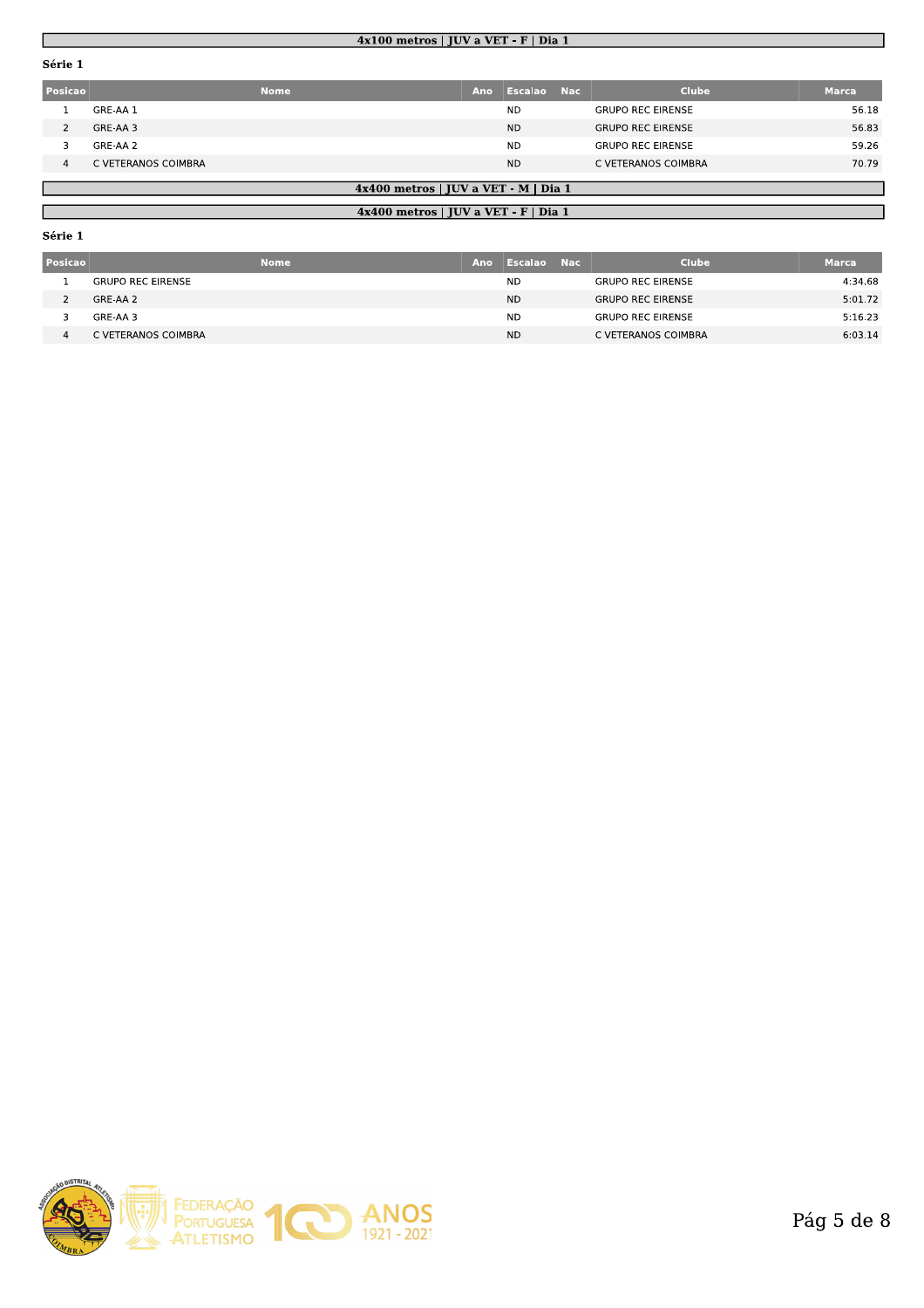## $4x100$  metros | JUV a VET - F | Dia 1

## Série 1

| <b>Posicao</b> |                     | Nome | Ano | Escalao   | - Nac | <b>Clube</b>             | <b>Marca</b> |
|----------------|---------------------|------|-----|-----------|-------|--------------------------|--------------|
|                | GRE-AA 1            |      |     | <b>ND</b> |       | <b>GRUPO REC EIRENSE</b> | 56.18        |
|                | GRE-AA 3            |      |     | <b>ND</b> |       | <b>GRUPO REC EIRENSE</b> | 56.83        |
|                | GRE-AA 2            |      |     | <b>ND</b> |       | <b>GRUPO REC EIRENSE</b> | 59.26        |
| 4              | C VETERANOS COIMBRA |      |     | <b>ND</b> |       | C VETERANOS COIMBRA      | 70.79        |

## 4x400 metros | JUV a VET - M | Dia 1

## 4x400 metros | JUV a VET - F | Dia 1

| ٠.<br>ı |  |
|---------|--|
|         |  |

| Posicao | <b>Nome</b>              | Ano | Escalao   | - Nac | <b>Clube</b>             | <b>Marca</b> |
|---------|--------------------------|-----|-----------|-------|--------------------------|--------------|
|         | <b>GRUPO REC EIRENSE</b> |     | <b>ND</b> |       | <b>GRUPO REC EIRENSE</b> | 4:34.68      |
|         | GRE-AA 2                 |     | <b>ND</b> |       | <b>GRUPO REC EIRENSE</b> | 5:01.72      |
|         | GRE-AA 3                 |     | <b>ND</b> |       | <b>GRUPO REC EIRENSE</b> | 5:16.23      |
|         | C VETERANOS COIMBRA      |     | <b>ND</b> |       | C VETERANOS COIMBRA      | 6:03.14      |

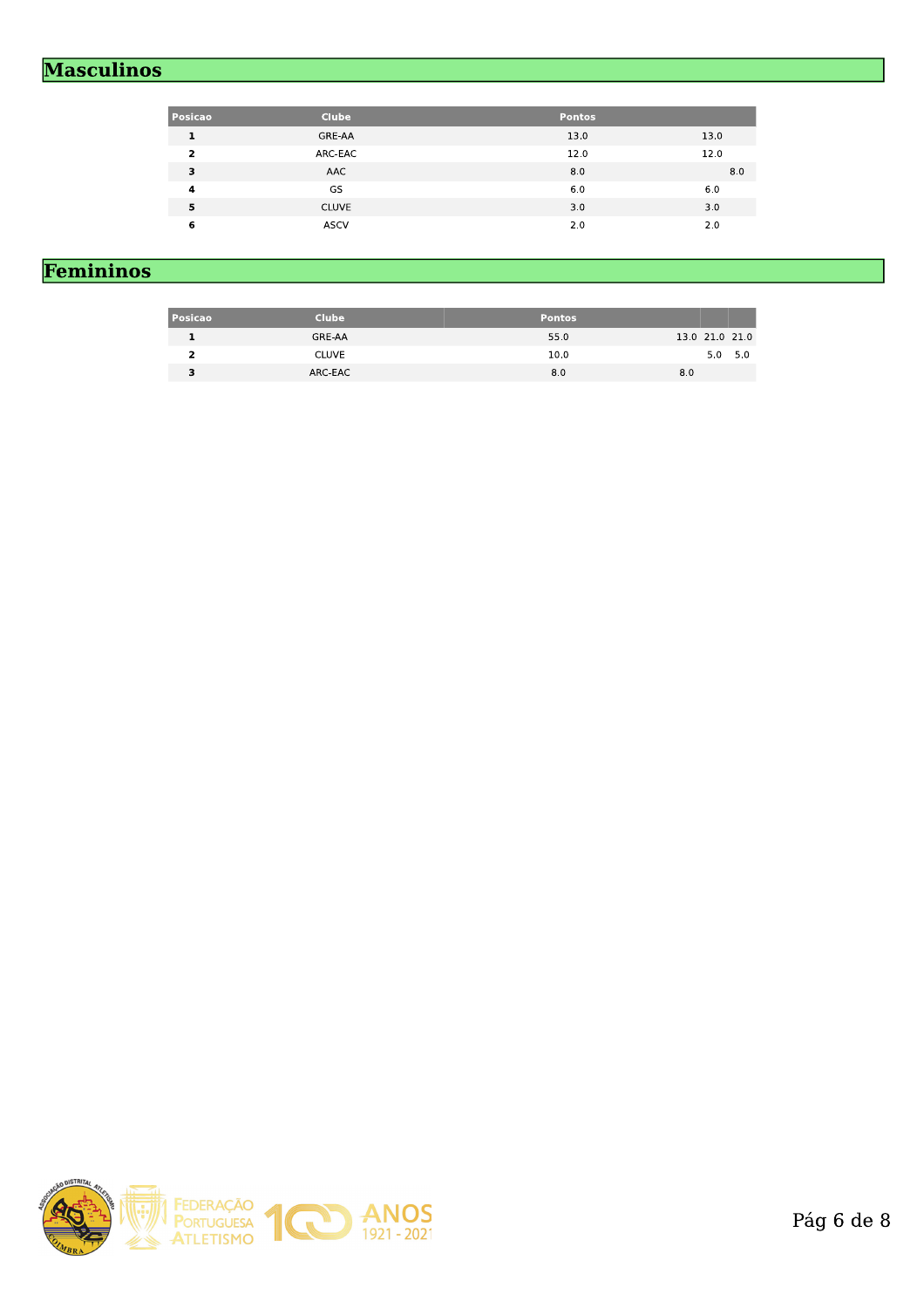# **Masculinos**

| <b>Posicao</b>          | <b>Clube</b> | <b>Pontos</b> |      |
|-------------------------|--------------|---------------|------|
| 1                       | GRE-AA       | 13.0          | 13.0 |
| $\overline{\mathbf{z}}$ | ARC-EAC      | 12.0          | 12.0 |
| 3                       | AAC          | 8.0           | 8.0  |
| 4                       | GS           | 6.0           | 6.0  |
| 5                       | <b>CLUVE</b> | 3.0           | 3.0  |
| 6                       | <b>ASCV</b>  | 2.0           | 2.0  |

# Femininos

| <b>Posicao</b> | <b>Clube</b> | <b>Pontos</b> |                |
|----------------|--------------|---------------|----------------|
|                | GRE-AA       | 55.0          | 13.0 21.0 21.0 |
|                | <b>CLUVE</b> | 10.0          | $5.0\quad 5.0$ |
|                | ARC-EAC      | 8.0           | 8.0            |

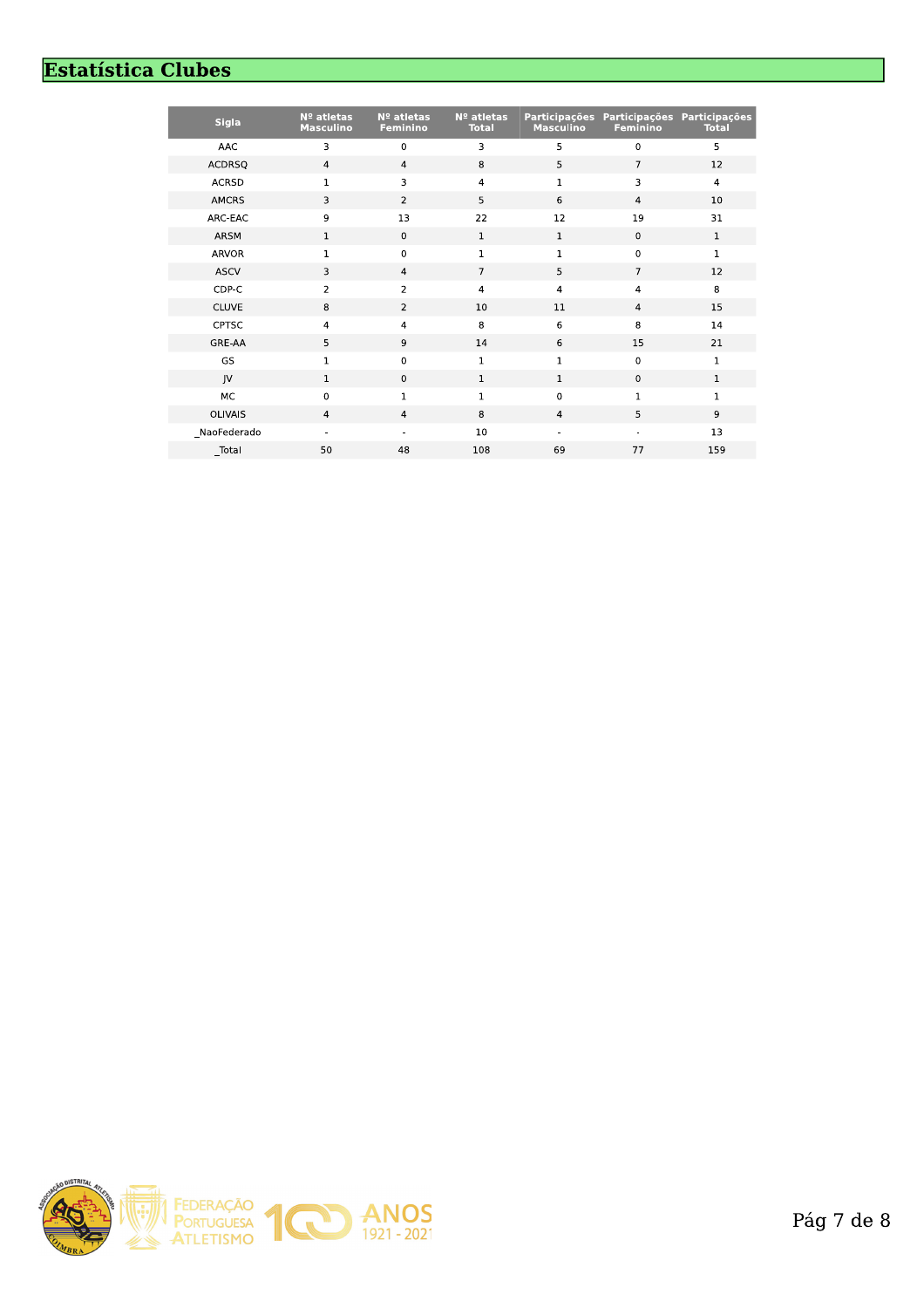# **Estatística Clubes**

| <b>Sigla</b>   | Nº atletas<br><b>Masculino</b> | Nº atletas<br>Feminino | $No$ atletas<br><b>Total</b> | <b>Participações</b><br>Masculino | <b>Feminino</b> | Participações Participações<br><b>Total</b> |
|----------------|--------------------------------|------------------------|------------------------------|-----------------------------------|-----------------|---------------------------------------------|
| AAC            | 3                              | 0                      | 3                            | 5                                 | $\mathbf 0$     | 5                                           |
| <b>ACDRSQ</b>  | $\overline{a}$                 | $\overline{4}$         | 8                            | 5                                 | $\overline{7}$  | 12                                          |
| <b>ACRSD</b>   | 1                              | 3                      | $\overline{4}$               | 1                                 | 3               | $\overline{4}$                              |
| <b>AMCRS</b>   | 3                              | $\overline{2}$         | 5                            | 6                                 | $\overline{4}$  | 10                                          |
| ARC-EAC        | 9                              | 13                     | 22                           | 12                                | 19              | 31                                          |
| ARSM           | $\mathbf 1$                    | $\mathbf 0$            | $\mathbf 1$                  | $\mathbf 1$                       | $\mathbf 0$     | $\mathbf{1}$                                |
| <b>ARVOR</b>   | 1                              | 0                      | $\mathbf 1$                  | $\mathbf 1$                       | $\mathbf 0$     | $\mathbf 1$                                 |
| <b>ASCV</b>    | 3                              | $\overline{4}$         | $\overline{7}$               | 5                                 | $\overline{7}$  | 12                                          |
| CDP-C          | $\overline{2}$                 | $\overline{a}$         | $\overline{4}$               | $\overline{4}$                    | $\overline{4}$  | 8                                           |
| <b>CLUVE</b>   | 8                              | $\overline{2}$         | $10\,$                       | 11                                | $\overline{4}$  | 15                                          |
| <b>CPTSC</b>   | 4                              | 4                      | 8                            | 6                                 | 8               | 14                                          |
| GRE-AA         | 5                              | 9                      | 14                           | 6                                 | 15              | 21                                          |
| GS             | $\mathbf{1}$                   | 0                      | $\mathbf{1}$                 | $\mathbf{1}$                      | $\mathbf 0$     | $\mathbf{1}$                                |
| JV             | 1                              | $\mathbf 0$            | $\mathbf{1}$                 | $\mathbf{1}$                      | $\mathbf 0$     | $\mathbf{1}$                                |
| MC             | $\mathbf 0$                    | 1                      | $\mathbf 1$                  | $\mathbf 0$                       | $\mathbf{1}$    | $\mathbf 1$                                 |
| <b>OLIVAIS</b> | $\overline{4}$                 | $\overline{4}$         | 8                            | $\overline{4}$                    | 5               | 9                                           |
| NaoFederado    |                                |                        | 10                           |                                   |                 | 13                                          |
| Total          | 50                             | 48                     | 108                          | 69                                | 77              | 159                                         |